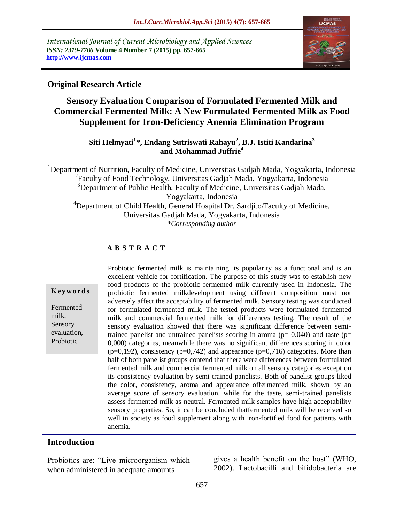*International Journal of Current Microbiology and Applied Sciences ISSN: 2319-7706* **Volume 4 Number 7 (2015) pp. 657-665 http://www.ijcmas.com** 



### **Original Research Article**

# **Sensory Evaluation Comparison of Formulated Fermented Milk and Commercial Fermented Milk: A New Formulated Fermented Milk as Food Supplement for Iron-Deficiency Anemia Elimination Program**

### **Siti Helmyati<sup>1</sup> \*, Endang Sutriswati Rahayu<sup>2</sup> , B.J. Istiti Kandarina<sup>3</sup> and Mohammad Juffrie<sup>4</sup>**

<sup>1</sup>Department of Nutrition, Faculty of Medicine, Universitas Gadjah Mada, Yogyakarta, Indonesia <sup>2</sup> Faculty of Food Technology, Universitas Gadjah Mada, Yogyakarta, Indonesia <sup>3</sup>Department of Public Health, Faculty of Medicine, Universitas Gadjah Mada, Yogyakarta, Indonesia <sup>4</sup>Department of Child Health, General Hospital Dr. Sardjito/Faculty of Medicine, Universitas Gadjah Mada, Yogyakarta, Indonesia *\*Corresponding author*

### **A B S T R A C T**

#### **K ey w o rd s**

Fermented milk, Sensory evaluation, Probiotic

Probiotic fermented milk is maintaining its popularity as a functional and is an excellent vehicle for fortification. The purpose of this study was to establish new food products of the probiotic fermented milk currently used in Indonesia. The probiotic fermented milkdevelopment using different composition must not adversely affect the acceptability of fermented milk. Sensory testing was conducted for formulated fermented milk. The tested products were formulated fermented milk and commercial fermented milk for differences testing. The result of the sensory evaluation showed that there was significant difference between semitrained panelist and untrained panelists scoring in aroma ( $p= 0.040$ ) and taste ( $p=$ 0,000) categories, meanwhile there was no significant differences scoring in color  $(p=0,192)$ , consistency  $(p=0,742)$  and appearance  $(p=0,716)$  categories. More than half of both panelist groups contend that there were differences between formulated fermented milk and commercial fermented milk on all sensory categories except on its consistency evaluation by semi-trained panelists. Both of panelist groups liked the color, consistency, aroma and appearance offermented milk, shown by an average score of sensory evaluation, while for the taste, semi-trained panelists assess fermented milk as neutral. Fermented milk samples have high acceptability sensory properties. So, it can be concluded thatfermented milk will be received so well in society as food supplement along with iron-fortified food for patients with anemia.

#### **Introduction**

Probiotics are: "Live microorganism which when administered in adequate amounts

gives a health benefit on the host" (WHO, 2002). Lactobacilli and bifidobacteria are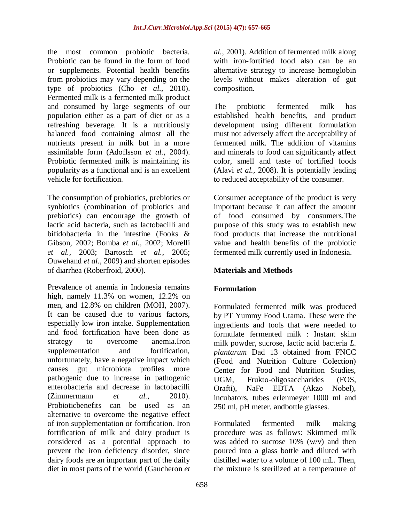the most common probiotic bacteria. Probiotic can be found in the form of food or supplements. Potential health benefits from probiotics may vary depending on the type of probiotics (Cho *et al.,* 2010). Fermented milk is a fermented milk product and consumed by large segments of our population either as a part of diet or as a refreshing beverage. It is a nutritiously balanced food containing almost all the nutrients present in milk but in a more assimilable form (Adoflsson *et al.,* 2004). Probiotic fermented milk is maintaining its popularity as a functional and is an excellent vehicle for fortification.

The consumption of probiotics, prebiotics or synbiotics (combination of probiotics and prebiotics) can encourage the growth of lactic acid bacteria, such as lactobacilli and bifidobacteria in the intestine (Fooks & Gibson, 2002; Bomba *et al.,* 2002; Morelli *et al.,* 2003; Bartosch *et al.*, 2005; Ouwehand *et al.,* 2009) and shorten episodes of diarrhea (Roberfroid, 2000).

Prevalence of anemia in Indonesia remains high, namely 11.3% on women, 12.2% on men, and 12.8% on children (MOH, 2007). It can be caused due to various factors, especially low iron intake. Supplementation and food fortification have been done as strategy to overcome anemia.Iron supplementation and fortification, unfortunately, have a negative impact which causes gut microbiota profiles more pathogenic due to increase in pathogenic enterobacteria and decrease in lactobacilli (Zimmermann *et al.,* 2010). Probioticbenefits can be used as an alternative to overcome the negative effect of iron supplementation or fortification. Iron fortification of milk and dairy product is considered as a potential approach to prevent the iron deficiency disorder, since dairy foods are an important part of the daily diet in most parts of the world (Gaucheron *et* 

*al.,* 2001). Addition of fermented milk along with iron-fortified food also can be an alternative strategy to increase hemoglobin levels without makes alteration of gut composition.

The probiotic fermented milk has established health benefits, and product development using different formulation must not adversely affect the acceptability of fermented milk. The addition of vitamins and minerals to food can significantly affect color, smell and taste of fortified foods (Alavi *et al.,* 2008). It is potentially leading to reduced acceptability of the consumer.

Consumer acceptance of the product is very important because it can affect the amount of food consumed by consumers.The purpose of this study was to establish new food products that increase the nutritional value and health benefits of the probiotic fermented milk currently used in Indonesia.

## **Materials and Methods**

## **Formulation**

Formulated fermented milk was produced by PT Yummy Food Utama. These were the ingredients and tools that were needed to formulate fermented milk : Instant skim milk powder, sucrose, lactic acid bacteria *L. plantarum* Dad 13 obtained from FNCC (Food and Nutrition Culture Colection) Center for Food and Nutrition Studies, UGM, Frukto-oligosaccharides (FOS, Orafti), NaFe EDTA (Akzo Nobel), incubators, tubes erlenmeyer 1000 ml and 250 ml, pH meter, andbottle glasses.

Formulated fermented milk making procedure was as follows: Skimmed milk was added to sucrose  $10\%$  (w/v) and then poured into a glass bottle and diluted with distilled water to a volume of 100 mL. Then, the mixture is sterilized at a temperature of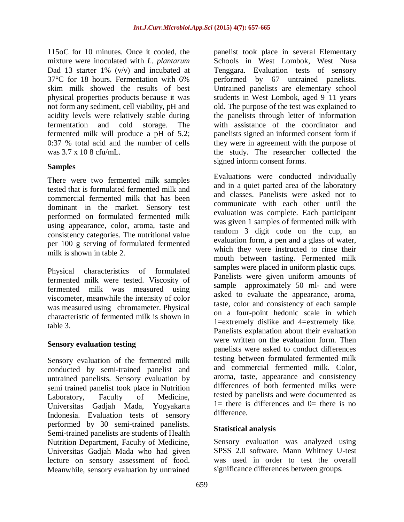115oC for 10 minutes. Once it cooled, the mixture were inoculated with *L. plantarum* Dad 13 starter 1%  $(v/v)$  and incubated at 37°C for 18 hours. Fermentation with 6% skim milk showed the results of best physical properties products because it was not form any sediment, cell viability, pH and acidity levels were relatively stable during fermentation and cold storage. The fermented milk will produce a pH of 5.2; 0:37 % total acid and the number of cells was 3.7 x 10 8 cfu/mL.

### **Samples**

There were two fermented milk samples tested that is formulated fermented milk and commercial fermented milk that has been dominant in the market. Sensory test performed on formulated fermented milk using appearance, color, aroma, taste and consistency categories. The nutritional value per 100 g serving of formulated fermented milk is shown in table 2.

Physical characteristics of formulated fermented milk were tested. Viscosity of fermented milk was measured using viscometer, meanwhile the intensity of color was measured using chromameter. Physical characteristic of fermented milk is shown in table 3.

#### **Sensory evaluation testing**

Sensory evaluation of the fermented milk conducted by semi-trained panelist and untrained panelists. Sensory evaluation by semi trained panelist took place in Nutrition Laboratory, Faculty of Medicine, Universitas Gadjah Mada, Yogyakarta Indonesia. Evaluation tests of sensory performed by 30 semi-trained panelists. Semi-trained panelists are students of Health Nutrition Department, Faculty of Medicine, Universitas Gadjah Mada who had given lecture on sensory assessment of food. Meanwhile, sensory evaluation by untrained

panelist took place in several Elementary Schools in West Lombok, West Nusa Tenggara. Evaluation tests of sensory performed by 67 untrained panelists. Untrained panelists are elementary school students in West Lombok, aged 9–11 years old. The purpose of the test was explained to the panelists through letter of information with assistance of the coordinator and panelists signed an informed consent form if they were in agreement with the purpose of the study. The researcher collected the signed inform consent forms.

Evaluations were conducted individually and in a quiet parted area of the laboratory and classes. Panelists were asked not to communicate with each other until the evaluation was complete. Each participant was given 1 samples of fermented milk with random 3 digit code on the cup, an evaluation form, a pen and a glass of water, which they were instructed to rinse their mouth between tasting. Fermented milk samples were placed in uniform plastic cups. Panelists were given uniform amounts of sample –approximately 50 ml- and were asked to evaluate the appearance, aroma, taste, color and consistency of each sample on a four-point hedonic scale in which 1=extremely dislike and 4=extremely like. Panelists explanation about their evaluation were written on the evaluation form. Then panelists were asked to conduct differences testing between formulated fermented milk and commercial fermented milk. Color, aroma, taste, appearance and consistency differences of both fermented milks were tested by panelists and were documented as  $1=$  there is differences and  $0=$  there is no difference.

#### **Statistical analysis**

Sensory evaluation was analyzed using SPSS 2.0 software. Mann Whitney U-test was used in order to test the overall significance differences between groups.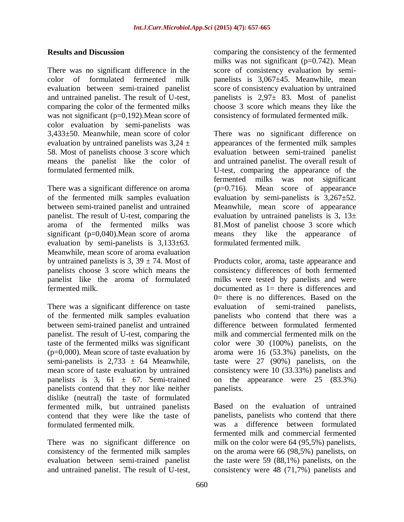#### **Results and Discussion**

There was no significant difference in the color of formulated fermented milk evaluation between semi-trained panelist and untrained panelist. The result of U-test, comparing the color of the fermented milks was not significant (p=0,192). Mean score of color evaluation by semi-panelists was 3,433±50. Meanwhile, mean score of color evaluation by untrained panelists was  $3.24 \pm$ 58. Most of panelists choose 3 score which means the panelist like the color of formulated fermented milk.

There was a significant difference on aroma of the fermented milk samples evaluation between semi-trained panelist and untrained panelist. The result of U-test, comparing the aroma of the fermented milks was significant (p=0,040).Mean score of aroma evaluation by semi-panelists is 3,133±63. Meanwhile, mean score of aroma evaluation by untrained panelists is  $3, 39 \pm 74$ . Most of panelists choose 3 score which means the panelist like the aroma of formulated fermented milk.

There was a significant difference on taste of the fermented milk samples evaluation between semi-trained panelist and untrained panelist. The result of U-test, comparing the taste of the fermented milks was significant  $(p=0,000)$ . Mean score of taste evaluation by semi-panelists is  $2,733 \pm 64$  Meanwhile, mean score of taste evaluation by untrained panelists is 3, 61  $\pm$  67. Semi-trained panelists contend that they nor like neither dislike (neutral) the taste of formulated fermented milk, but untrained panelists contend that they were like the taste of formulated fermented milk.

There was no significant difference on consistency of the fermented milk samples evaluation between semi-trained panelist and untrained panelist. The result of U-test,

comparing the consistency of the fermented milks was not significant (p=0.742). Mean score of consistency evaluation by semipanelists is 3,067±45. Meanwhile, mean score of consistency evaluation by untrained panelists is  $2.97 \pm 83$ . Most of panelist choose 3 score which means they like the consistency of formulated fermented milk.

There was no significant difference on appearances of the fermented milk samples evaluation between semi-trained panelist and untrained panelist. The overall result of U-test, comparing the appearance of the fermented milks was not significant (p=0.716). Mean score of appearance evaluation by semi-panelists is  $3,267\pm52$ . Meanwhile, mean score of appearance evaluation by untrained panelists is  $3$ ,  $13\pm$ 81.Most of panelist choose 3 score which means they like the appearance of formulated fermented milk.

Products color, aroma, taste appearance and consistency differences of both fermented milks were tested by panelists and were documented as 1= there is differences and  $0=$  there is no differences. Based on the evaluation of semi-trained panelists, panelists who contend that there was a difference between formulated fermented milk and commercial fermented milk on the color were 30 (100%) panelists, on the aroma were 16 (53.3%) panelists, on the taste were 27 (90%) panelists, on the consistency were 10 (33.33%) panelists and on the appearance were 25 (83.3%) panelists.

Based on the evaluation of untrained panelists, panelists who contend that there was a difference between formulated fermented milk and commercial fermented milk on the color were 64 (95,5%) panelists, on the aroma were 66 (98,5%) panelists, on the taste were 59 (88,1%) panelists, on the consistency were 48 (71,7%) panelists and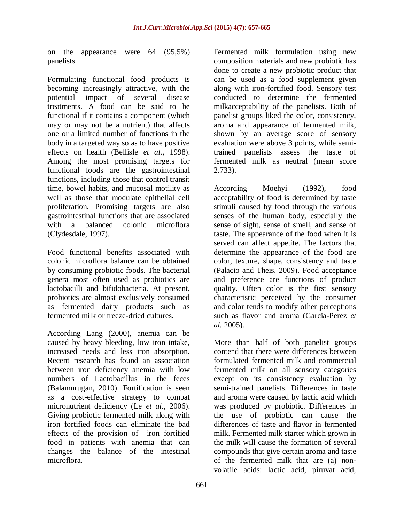on the appearance were 64 (95,5%) panelists.

Formulating functional food products is becoming increasingly attractive, with the potential impact of several disease treatments. A food can be said to be functional if it contains a component (which may or may not be a nutrient) that affects one or a limited number of functions in the body in a targeted way so as to have positive effects on health (Bellisle *et al.,* 1998). Among the most promising targets for functional foods are the gastrointestinal functions, including those that control transit time, bowel habits, and mucosal motility as well as those that modulate epithelial cell proliferation. Promising targets are also gastrointestinal functions that are associated with a balanced colonic microflora (Clydesdale, 1997).

Food functional benefits associated with colonic microflora balance can be obtained by consuming probiotic foods. The bacterial genera most often used as probiotics are lactobacilli and bifidobacteria. At present, probiotics are almost exclusively consumed as fermented dairy products such as fermented milk or freeze-dried cultures.

According Lang (2000), anemia can be caused by heavy bleeding, low iron intake, increased needs and less iron absorption. Recent research has found an association between iron deficiency anemia with low numbers of Lactobacillus in the feces (Balamurugan, 2010). Fortification is seen as a cost-effective strategy to combat micronutrient deficiency (Le *et al.,* 2006). Giving probiotic fermented milk along with iron fortified foods can eliminate the bad effects of the provision of iron fortified food in patients with anemia that can changes the balance of the intestinal microflora.

Fermented milk formulation using new composition materials and new probiotic has done to create a new probiotic product that can be used as a food supplement given along with iron-fortified food. Sensory test conducted to determine the fermented milkacceptability of the panelists. Both of panelist groups liked the color, consistency, aroma and appearance of fermented milk, shown by an average score of sensory evaluation were above 3 points, while semitrained panelists assess the taste of fermented milk as neutral (mean score 2.733).

According Moehyi (1992), food acceptability of food is determined by taste stimuli caused by food through the various senses of the human body, especially the sense of sight, sense of smell, and sense of taste. The appearance of the food when it is served can affect appetite. The factors that determine the appearance of the food are color, texture, shape, consistency and taste (Palacio and Theis, 2009). Food acceptance and preference are functions of product quality. Often color is the first sensory characteristic perceived by the consumer and color tends to modify other perceptions such as flavor and aroma (Garcia-Perez *et al.* 2005).

More than half of both panelist groups contend that there were differences between formulated fermented milk and commercial fermented milk on all sensory categories except on its consistency evaluation by semi-trained panelists. Differences in taste and aroma were caused by lactic acid which was produced by probiotic. Differences in the use of probiotic can cause the differences of taste and flavor in fermented milk. Fermented milk starter which grown in the milk will cause the formation of several compounds that give certain aroma and taste of the fermented milk that are (a) nonvolatile acids: lactic acid, piruvat acid,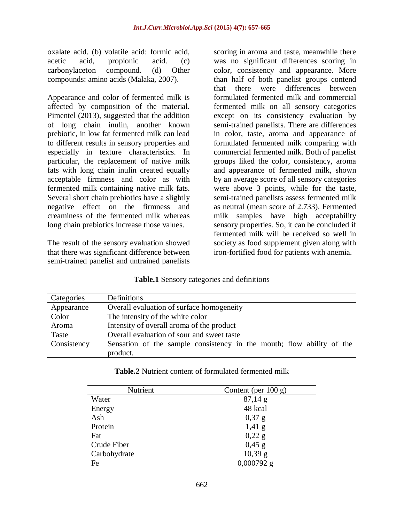oxalate acid. (b) volatile acid: formic acid, acetic acid, propionic acid. (c) carbonylaceton compound. (d) Other compounds: amino acids (Malaka, 2007).

Appearance and color of fermented milk is affected by composition of the material. Pimentel (2013), suggested that the addition of long chain inulin, another known prebiotic, in low fat fermented milk can lead to different results in sensory properties and especially in texture characteristics. In particular, the replacement of native milk fats with long chain inulin created equally acceptable firmness and color as with fermented milk containing native milk fats. Several short chain prebiotics have a slightly negative effect on the firmness and creaminess of the fermented milk whereas long chain prebiotics increase those values.

The result of the sensory evaluation showed that there was significant difference between semi-trained panelist and untrained panelists

scoring in aroma and taste, meanwhile there was no significant differences scoring in color, consistency and appearance. More than half of both panelist groups contend that there were differences between formulated fermented milk and commercial fermented milk on all sensory categories except on its consistency evaluation by semi-trained panelists. There are differences in color, taste, aroma and appearance of formulated fermented milk comparing with commercial fermented milk. Both of panelist groups liked the color, consistency, aroma and appearance of fermented milk, shown by an average score of all sensory categories were above 3 points, while for the taste, semi-trained panelists assess fermented milk as neutral (mean score of 2.733). Fermented milk samples have high acceptability sensory properties. So, it can be concluded if fermented milk will be received so well in society as food supplement given along with iron-fortified food for patients with anemia.

|  |  |  |  | Table.1 Sensory categories and definitions |
|--|--|--|--|--------------------------------------------|
|--|--|--|--|--------------------------------------------|

| Categories  | Definitions                                                           |
|-------------|-----------------------------------------------------------------------|
| Appearance  | Overall evaluation of surface homogeneity                             |
| Color       | The intensity of the white color                                      |
| Aroma       | Intensity of overall aroma of the product                             |
| Taste       | Overall evaluation of sour and sweet taste                            |
| Consistency | Sensation of the sample consistency in the mouth; flow ability of the |
|             | product.                                                              |

| <b>Table.2</b> Nutrient content of formulated fermented milk |
|--------------------------------------------------------------|
|--------------------------------------------------------------|

| Nutrient     | Content (per $100 g$ ) |
|--------------|------------------------|
| Water        | $87,14 \text{ g}$      |
| Energy       | 48 kcal                |
| Ash          | $0,37$ g               |
| Protein      | $1,41 \text{ g}$       |
| Fat          | 0,22 g                 |
| Crude Fiber  | $0,45 \text{ g}$       |
| Carbohydrate | $10,39 \text{ g}$      |
| Fe           | $0,000792$ g           |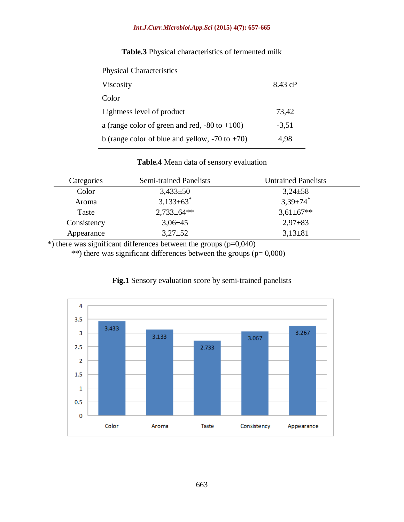#### *Int.J.Curr.Microbiol.App.Sci* **(2015) 4(7): 657-665**

| <b>Physical Characteristics</b>                     |         |  |  |
|-----------------------------------------------------|---------|--|--|
| Viscosity                                           | 8.43 cP |  |  |
| Color                                               |         |  |  |
| Lightness level of product                          | 73,42   |  |  |
| a (range color of green and red, $-80$ to $+100$ )  | $-3,51$ |  |  |
| b (range color of blue and yellow, $-70$ to $+70$ ) | 4,98    |  |  |

## **Table.3** Physical characteristics of fermented milk

#### **Table.4** Mean data of sensory evaluation

| Categories  | <b>Semi-trained Panelists</b> | <b>Untrained Panelists</b> |
|-------------|-------------------------------|----------------------------|
| Color       | $3,433\pm50$                  | $3,24\pm58$                |
| Aroma       | $3,133\pm 63$ <sup>*</sup>    | $3,39\pm74$ *              |
| Taste       | $2,733\pm64**$                | $3,61\pm67**$              |
| Consistency | $3,06\pm 45$                  | $2,97\pm83$                |
| Appearance  | $3,27+52$                     | $3,13\pm81$                |

 $\overline{\hspace{1cm}}$ ) there was significant differences between the groups (p=0,040)

\*\*) there was significant differences between the groups ( $p= 0,000$ )



#### **Fig.1** Sensory evaluation score by semi-trained panelists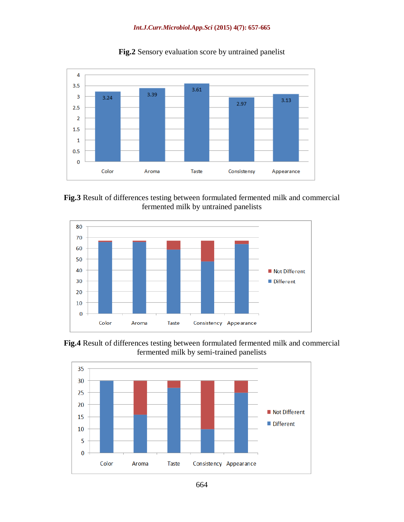#### *Int.J.Curr.Microbiol.App.Sci* **(2015) 4(7): 657-665**



**Fig.2** Sensory evaluation score by untrained panelist





**Fig.4** Result of differences testing between formulated fermented milk and commercial fermented milk by semi-trained panelists